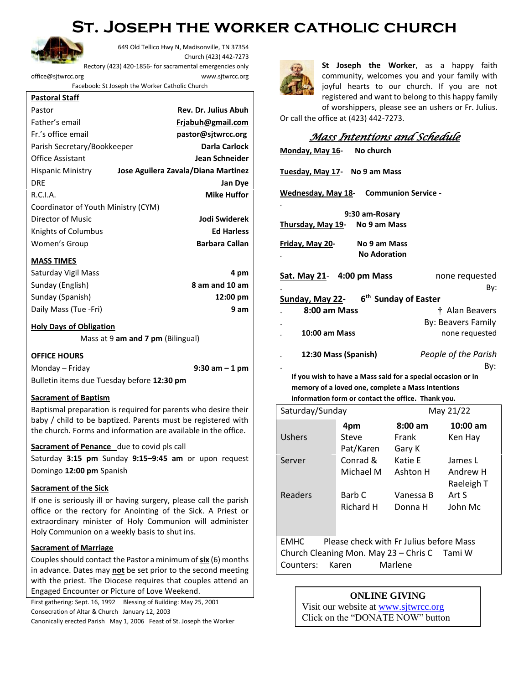## **St. Joseph the worker catholic church**



649 Old Tellico Hwy N, Madisonville, TN 37354 Church (423) 442-7273 Rectory (423) 420-1856- for sacramental emergencies only [office@sjtwrcc.org](mailto:office@sjtwrcc.org) www.sjtwrcc.org

Facebook: St Joseph the Worker Catholic Church

| <b>Pastoral Staff</b>               |                                     |  |  |  |
|-------------------------------------|-------------------------------------|--|--|--|
| Pastor                              | <b>Rev. Dr. Julius Abuh</b>         |  |  |  |
| Father's email                      | Frjabuh@gmail.com                   |  |  |  |
| Fr.'s office email                  | pastor@sjtwrcc.org                  |  |  |  |
| Parish Secretary/Bookkeeper         | Darla Carlock                       |  |  |  |
| <b>Office Assistant</b>             | Jean Schneider                      |  |  |  |
| <b>Hispanic Ministry</b>            | Jose Aguilera Zavala/Diana Martinez |  |  |  |
| DRE                                 | Jan Dye                             |  |  |  |
| R.C.I.A.                            | <b>Mike Huffor</b>                  |  |  |  |
| Coordinator of Youth Ministry (CYM) |                                     |  |  |  |
| Director of Music                   | Jodi Swiderek                       |  |  |  |
| Knights of Columbus                 | <b>Ed Harless</b>                   |  |  |  |
| Women's Group                       | <b>Barbara Callan</b>               |  |  |  |
|                                     |                                     |  |  |  |

## **MASS TIMES**

| Saturday Vigil Mass   | 4 pm               |
|-----------------------|--------------------|
| Sunday (English)      | 8 am and 10 am     |
| Sunday (Spanish)      | $12:00 \text{ pm}$ |
| Daily Mass (Tue -Fri) | 9 am               |

## **Holy Days of Obligation**

Mass at 9 **am and 7 pm** (Bilingual)

**OFFICE HOURS** Monday – Friday **9:30 am – 1 pm** Bulletin items due Tuesday before **12:30 pm**

## **Sacrament of Baptism**

Baptismal preparation is required for parents who desire their baby / child to be baptized. Parents must be registered with the church. Forms and information are available in the office.

#### **Sacrament of Penance** due to covid pls call

Saturday **3:15 pm** Sunday **9:15–9:45 am** or upon request Domingo **12:00 pm** Spanish

#### **Sacrament of the Sick**

If one is seriously ill or having surgery, please call the parish office or the rectory for Anointing of the Sick. A Priest or extraordinary minister of Holy Communion will administer Holy Communion on a weekly basis to shut ins.

## **Sacrament of Marriage**

Couples should contact the Pastor a minimum of **six** (6) months in advance. Dates may **not** be set prior to the second meeting with the priest. The Diocese requires that couples attend an Engaged Encounter or Picture of Love Weekend.

First gathering: Sept. 16, 1992 Blessing of Building: May 25, 2001 Consecration of Altar & Church January 12, 2003

Canonically erected Parish May 1, 2006 Feast of St. Joseph the Worker



**St Joseph the Worker**, as a happy faith community, welcomes you and your family with joyful hearts to our church. If you are not registered and want to belong to this happy family of worshippers, please see an ushers or Fr. Julius.

Or call the office at (423) 442-7273.

## *Mass Intentions and Schedule*

| Monday, May 16- No church                                    |                      |  |  |  |  |
|--------------------------------------------------------------|----------------------|--|--|--|--|
| Tuesday, May 17- No 9 am Mass                                |                      |  |  |  |  |
| <b>Wednesday, May 18-</b> Communion Service -                |                      |  |  |  |  |
| 9:30 am-Rosary                                               |                      |  |  |  |  |
| Thursday, May 19- No 9 am Mass                               |                      |  |  |  |  |
| Friday, May 20-<br>No 9 am Mass<br><b>No Adoration</b>       |                      |  |  |  |  |
| Sat. May 21- 4:00 pm Mass                                    | none requested       |  |  |  |  |
|                                                              | By:                  |  |  |  |  |
| Sunday, May 22- 6 <sup>th</sup> Sunday of Easter             |                      |  |  |  |  |
| 8:00 am Mass                                                 | † Alan Beavers       |  |  |  |  |
|                                                              | By: Beavers Family   |  |  |  |  |
| <b>10:00 am Mass</b>                                         | none requested       |  |  |  |  |
| 12:30 Mass (Spanish)                                         | People of the Parish |  |  |  |  |
|                                                              | By:                  |  |  |  |  |
| If you wish to have a Mass said for a special occasion or in |                      |  |  |  |  |

**If you wish to have a Mass said for a special occasion or in memory of a loved one, complete a Mass Intentions information form or contact the office. Thank you.**

| Saturday/Sunday |                  | May 21/22         |            |  |
|-----------------|------------------|-------------------|------------|--|
|                 | 4pm              | $8:00 \text{ am}$ | $10:00$ am |  |
| Ushers          | Steve            | Frank             | Ken Hay    |  |
|                 | Pat/Karen        | Gary K            |            |  |
| Server          | Conrad &         | Katie E           | James L    |  |
|                 | Michael M        | Ashton H          | Andrew H   |  |
|                 |                  |                   | Raeleigh T |  |
| Readers         | Barb C           | Vanessa B         | Art S      |  |
|                 | <b>Richard H</b> | Donna H           | John Mc    |  |
|                 |                  |                   |            |  |
|                 |                  |                   |            |  |

EMHC Please check with Fr Julius before Mass Church Cleaning Mon. May 23 – Chris C Tami W Counters: Karen Marlene

## **ONLINE GIVING**

Visit our website at [www.sjtwrcc.org](http://www.sjtwrcc.org/) Click on the "DONATE NOW" button